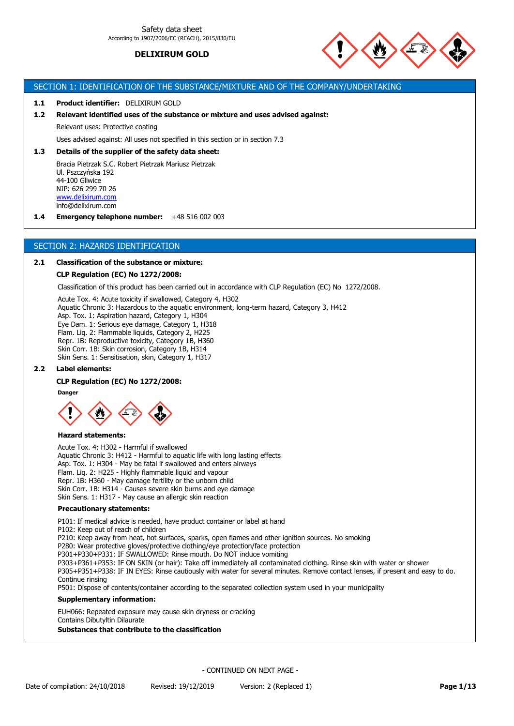

## SECTION 1: IDENTIFICATION OF THE SUBSTANCE/MIXTURE AND OF THE COMPANY/UNDERTAKING

#### **1.1 Product identifier:** DELIXIRUM GOLD

## **1.2 Relevant identified uses of the substance or mixture and uses advised against:**

Relevant uses: Protective coating

Uses advised against: All uses not specified in this section or in section 7.3

#### **1.3 Details of the supplier of the safety data sheet:**

Bracia Pietrzak S.C. Robert Pietrzak Mariusz Pietrzak Ul. Pszczyńska 192 44-100 Gliwice NIP: 626 299 70 26 [www.delixirum.com](http://www.delixirum.com/) info@delixirum.com

**1.4 Emergency telephone number:** +48 516 002 003

### SECTION 2: HAZARDS IDENTIFICATION

#### **2.1 Classification of the substance or mixture:**

#### **CLP Regulation (EC) No 1272/2008:**

Classification of this product has been carried out in accordance with CLP Regulation (EC) No 1272/2008.

Acute Tox. 4: Acute toxicity if swallowed, Category 4, H302 Aquatic Chronic 3: Hazardous to the aquatic environment, long-term hazard, Category 3, H412 Asp. Tox. 1: Aspiration hazard, Category 1, H304 Eye Dam. 1: Serious eye damage, Category 1, H318 Flam. Liq. 2: Flammable liquids, Category 2, H225 Repr. 1B: Reproductive toxicity, Category 1B, H360 Skin Corr. 1B: Skin corrosion, Category 1B, H314 Skin Sens. 1: Sensitisation, skin, Category 1, H317

#### **2.2 Label elements:**

#### **CLP Regulation (EC) No 1272/2008:**

**Danger**



#### **Hazard statements:**

Acute Tox. 4: H302 - Harmful if swallowed Aquatic Chronic 3: H412 - Harmful to aquatic life with long lasting effects Asp. Tox. 1: H304 - May be fatal if swallowed and enters airways Flam. Liq. 2: H225 - Highly flammable liquid and vapour Repr. 1B: H360 - May damage fertility or the unborn child Skin Corr. 1B: H314 - Causes severe skin burns and eye damage Skin Sens. 1: H317 - May cause an allergic skin reaction

#### **Precautionary statements:**

P101: If medical advice is needed, have product container or label at hand P102: Keep out of reach of children P210: Keep away from heat, hot surfaces, sparks, open flames and other ignition sources. No smoking P280: Wear protective gloves/protective clothing/eye protection/face protection P301+P330+P331: IF SWALLOWED: Rinse mouth. Do NOT induce vomiting P303+P361+P353: IF ON SKIN (or hair): Take off immediately all contaminated clothing. Rinse skin with water or shower P305+P351+P338: IF IN EYES: Rinse cautiously with water for several minutes. Remove contact lenses, if present and easy to do. Continue rinsing P501: Dispose of contents/container according to the separated collection system used in your municipality **Supplementary information:**

EUH066: Repeated exposure may cause skin dryness or cracking Contains Dibutyltin Dilaurate **Substances that contribute to the classification**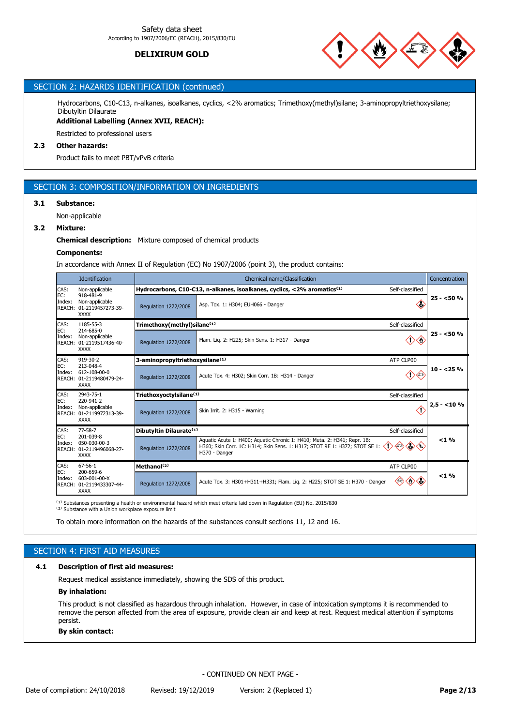

## SECTION 2: HAZARDS IDENTIFICATION (continued)

Hydrocarbons, C10-C13, n-alkanes, isoalkanes, cyclics, <2% aromatics; Trimethoxy(methyl)silane; 3-aminopropyltriethoxysilane; Dibutyltin Dilaurate

**Additional Labelling (Annex XVII, REACH):**

Restricted to professional users

# **2.3 Other hazards:**

Product fails to meet PBT/vPvB criteria

# SECTION 3: COMPOSITION/INFORMATION ON INGREDIENTS

### **3.1 Substance:**

Non-applicable

### **3.2 Mixture:**

### **Chemical description:** Mixture composed of chemical products

#### **Components:**

In accordance with Annex II of Regulation (EC) No 1907/2006 (point 3), the product contains:

|                                | Identification                                                       |                                             | Chemical name/Classification<br>Concentration                                                                                                                                                                                    |             |  |  |
|--------------------------------|----------------------------------------------------------------------|---------------------------------------------|----------------------------------------------------------------------------------------------------------------------------------------------------------------------------------------------------------------------------------|-------------|--|--|
| CAS:                           | Non-applicable<br>918-481-9                                          |                                             | Hydrocarbons, C10-C13, n-alkanes, isoalkanes, cyclics, <2% aromatics <sup>(1)</sup><br>Self-classified                                                                                                                           |             |  |  |
| EC:<br>Index:<br><b>REACH:</b> | Non-applicable<br>01-2119457273-39-<br><b>XXXX</b>                   | Regulation 1272/2008                        | G)<br>Asp. Tox. 1: H304; EUH066 - Danger                                                                                                                                                                                         | $25 - 50%$  |  |  |
| CAS:<br>EC:                    | 1185-55-3<br>214-685-0                                               | Trimethoxy(methyl)silane <sup>(1)</sup>     | Self-classified                                                                                                                                                                                                                  |             |  |  |
| Index:                         | Non-applicable<br>REACH: 01-2119517436-40-<br><b>XXXX</b>            | Regulation 1272/2008                        | Ω<br>$\cdot$ (b)<br>Flam. Lig. 2: H225; Skin Sens. 1: H317 - Danger                                                                                                                                                              | $25 - 50%$  |  |  |
| CAS:<br>EC:                    | $919 - 30 - 2$<br>213-048-4                                          | 3-aminopropyltriethoxysilane <sup>(1)</sup> | ATP CLP00                                                                                                                                                                                                                        |             |  |  |
| Index:                         | 612-108-00-0<br>REACH: 01-2119480479-24-<br><b>XXXX</b>              | Regulation 1272/2008                        | 〈!〉<br>Acute Tox. 4: H302; Skin Corr. 1B: H314 - Danger                                                                                                                                                                          | $10 - 25%$  |  |  |
| CAS:                           | 2943-75-1<br>220-941-2                                               | Triethoxyoctylsilane <sup>(1)</sup>         | Self-classified                                                                                                                                                                                                                  |             |  |  |
| EC:<br>Index:<br><b>REACH:</b> | Non-applicable<br>01-2119972313-39-<br><b>XXXX</b>                   | Regulation 1272/2008                        | <r)<br>Skin Irrit. 2: H315 - Warning</r)<br>                                                                                                                                                                                     | $2,5 - 10%$ |  |  |
| CAS:                           | $77 - 58 - 7$                                                        | Dibutyltin Dilaurate <sup>(1)</sup>         | Self-classified                                                                                                                                                                                                                  |             |  |  |
| EC:<br>Index:                  | 201-039-8<br>050-030-00-3<br>REACH: 01-2119496068-27-<br><b>XXXX</b> | Regulation 1272/2008                        | Aquatic Acute 1: H400; Aquatic Chronic 1: H410; Muta. 2: H341; Repr. 1B:<br>$\Leftrightarrow$ $\Leftrightarrow$ $\Leftrightarrow$<br>H360; Skin Corr. 1C: H314; Skin Sens. 1: H317; STOT RE 1: H372; STOT SE 1:<br>H370 - Danger | $< 1 \%$    |  |  |
| CAS:<br>EC:                    | $67 - 56 - 1$<br>200-659-6                                           | Methanol <sup>(2)</sup>                     | ATP CLP00                                                                                                                                                                                                                        |             |  |  |
| Index:                         | 603-001-00-X<br>REACH: 01-2119433307-44-<br><b>XXXX</b>              | Regulation 1272/2008                        | ◇◇<br>Acute Tox. 3: H301+H311+H331; Flam. Lig. 2: H225; STOT SE 1: H370 - Danger                                                                                                                                                 | $< 1 \%$    |  |  |

 $^{(1)}$  Substances presenting a health or environmental hazard which meet criteria laid down in Regulation (EU) No. 2015/830

<sup>(2)</sup> Substance with a Union workplace exposure limit

To obtain more information on the hazards of the substances consult sections 11, 12 and 16.

# SECTION 4: FIRST AID MEASURES

# **4.1 Description of first aid measures:**

Request medical assistance immediately, showing the SDS of this product.

#### **By inhalation:**

This product is not classified as hazardous through inhalation. However, in case of intoxication symptoms it is recommended to remove the person affected from the area of exposure, provide clean air and keep at rest. Request medical attention if symptoms persist.

#### **By skin contact:**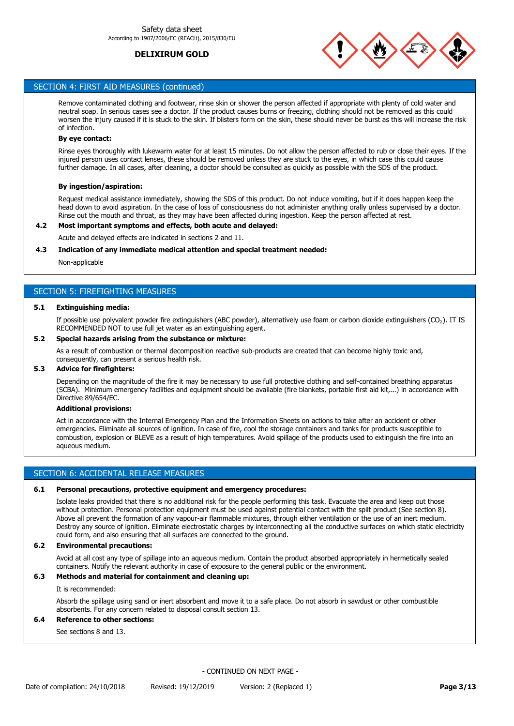

# SECTION 4: FIRST AID MEASURES (continued)

Remove contaminated clothing and footwear, rinse skin or shower the person affected if appropriate with plenty of cold water and neutral soap. In serious cases see a doctor. If the product causes burns or freezing, clothing should not be removed as this could worsen the injury caused if it is stuck to the skin. If blisters form on the skin, these should never be burst as this will increase the risk of infection.

#### **By eye contact:**

Rinse eyes thoroughly with lukewarm water for at least 15 minutes. Do not allow the person affected to rub or close their eyes. If the injured person uses contact lenses, these should be removed unless they are stuck to the eyes, in which case this could cause further damage. In all cases, after cleaning, a doctor should be consulted as quickly as possible with the SDS of the product.

#### **By ingestion/aspiration:**

Request medical assistance immediately, showing the SDS of this product. Do not induce vomiting, but if it does happen keep the head down to avoid aspiration. In the case of loss of consciousness do not administer anything orally unless supervised by a doctor. Rinse out the mouth and throat, as they may have been affected during ingestion. Keep the person affected at rest.

#### **4.2 Most important symptoms and effects, both acute and delayed:**

Acute and delayed effects are indicated in sections 2 and 11.

#### **4.3 Indication of any immediate medical attention and special treatment needed:**

Non-applicable

## SECTION 5: FIREFIGHTING MEASURES

### **5.1 Extinguishing media:**

If possible use polyvalent powder fire extinguishers (ABC powder), alternatively use foam or carbon dioxide extinguishers (CO₂). IT IS RECOMMENDED NOT to use full jet water as an extinguishing agent.

### **5.2 Special hazards arising from the substance or mixture:**

As a result of combustion or thermal decomposition reactive sub-products are created that can become highly toxic and, consequently, can present a serious health risk.

#### **5.3 Advice for firefighters:**

Depending on the magnitude of the fire it may be necessary to use full protective clothing and self-contained breathing apparatus (SCBA). Minimum emergency facilities and equipment should be available (fire blankets, portable first aid kit,...) in accordance with Directive 89/654/EC.

#### **Additional provisions:**

Act in accordance with the Internal Emergency Plan and the Information Sheets on actions to take after an accident or other emergencies. Eliminate all sources of ignition. In case of fire, cool the storage containers and tanks for products susceptible to combustion, explosion or BLEVE as a result of high temperatures. Avoid spillage of the products used to extinguish the fire into an aqueous medium.

#### SECTION 6: ACCIDENTAL RELEASE MEASURES

### **6.1 Personal precautions, protective equipment and emergency procedures:**

Isolate leaks provided that there is no additional risk for the people performing this task. Evacuate the area and keep out those without protection. Personal protection equipment must be used against potential contact with the spilt product (See section 8). Above all prevent the formation of any vapour-air flammable mixtures, through either ventilation or the use of an inert medium. Destroy any source of ignition. Eliminate electrostatic charges by interconnecting all the conductive surfaces on which static electricity could form, and also ensuring that all surfaces are connected to the ground.

#### **6.2 Environmental precautions:**

Avoid at all cost any type of spillage into an aqueous medium. Contain the product absorbed appropriately in hermetically sealed containers. Notify the relevant authority in case of exposure to the general public or the environment.

# **6.3 Methods and material for containment and cleaning up:**

It is recommended:

Absorb the spillage using sand or inert absorbent and move it to a safe place. Do not absorb in sawdust or other combustible absorbents. For any concern related to disposal consult section 13.

# **6.4 Reference to other sections:**

See sections 8 and 13.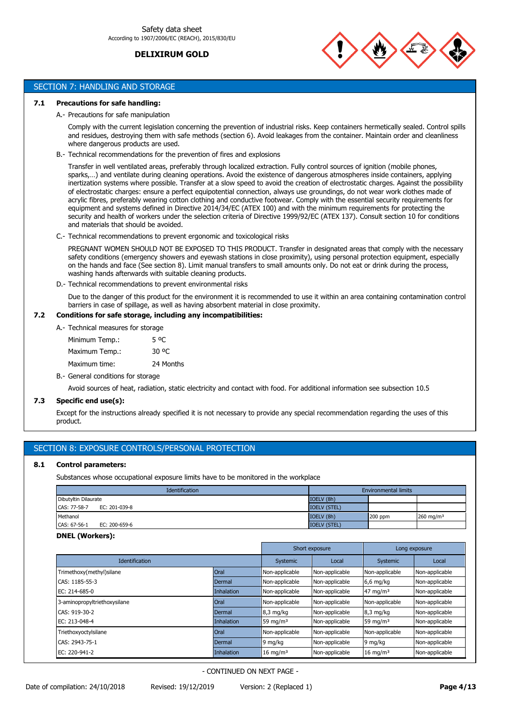

## SECTION 7: HANDLING AND STORAGE

### **7.1 Precautions for safe handling:**

### A.- Precautions for safe manipulation

Comply with the current legislation concerning the prevention of industrial risks. Keep containers hermetically sealed. Control spills and residues, destroying them with safe methods (section 6). Avoid leakages from the container. Maintain order and cleanliness where dangerous products are used.

B.- Technical recommendations for the prevention of fires and explosions

Transfer in well ventilated areas, preferably through localized extraction. Fully control sources of ignition (mobile phones, sparks,…) and ventilate during cleaning operations. Avoid the existence of dangerous atmospheres inside containers, applying inertization systems where possible. Transfer at a slow speed to avoid the creation of electrostatic charges. Against the possibility of electrostatic charges: ensure a perfect equipotential connection, always use groundings, do not wear work clothes made of acrylic fibres, preferably wearing cotton clothing and conductive footwear. Comply with the essential security requirements for equipment and systems defined in Directive 2014/34/EC (ATEX 100) and with the minimum requirements for protecting the security and health of workers under the selection criteria of Directive 1999/92/EC (ATEX 137). Consult section 10 for conditions and materials that should be avoided.

C.- Technical recommendations to prevent ergonomic and toxicological risks

PREGNANT WOMEN SHOULD NOT BE EXPOSED TO THIS PRODUCT. Transfer in designated areas that comply with the necessary safety conditions (emergency showers and eyewash stations in close proximity), using personal protection equipment, especially on the hands and face (See section 8). Limit manual transfers to small amounts only. Do not eat or drink during the process, washing hands afterwards with suitable cleaning products.

D.- Technical recommendations to prevent environmental risks

Due to the danger of this product for the environment it is recommended to use it within an area containing contamination control barriers in case of spillage, as well as having absorbent material in close proximity.

# **7.2 Conditions for safe storage, including any incompatibilities:**

A.- Technical measures for storage

| Minimum Temp.: | 5 OC      |
|----------------|-----------|
| Maximum Temp.: | 30 °C     |
| Maximum time:  | 24 Months |

B.- General conditions for storage

Avoid sources of heat, radiation, static electricity and contact with food. For additional information see subsection 10.5

# **7.3 Specific end use(s):**

Except for the instructions already specified it is not necessary to provide any special recommendation regarding the uses of this product.

# SECTION 8: EXPOSURE CONTROLS/PERSONAL PROTECTION

#### **8.1 Control parameters:**

Substances whose occupational exposure limits have to be monitored in the workplace

| Identification                | <b>Environmental limits</b> |         |              |
|-------------------------------|-----------------------------|---------|--------------|
| Dibutyltin Dilaurate          | IOELV (8h)                  |         |              |
| CAS: 77-58-7<br>EC: 201-039-8 | <b>IOELV (STEL)</b>         |         |              |
| Methanol                      | IOELV (8h)                  | 200 ppm | 260 mg/m $3$ |
| CAS: 67-56-1<br>EC: 200-659-6 | <b>IOELV (STEL)</b>         |         |              |

### **DNEL (Workers):**

|                              |                   |                     | Short exposure |                     | Long exposure  |  |
|------------------------------|-------------------|---------------------|----------------|---------------------|----------------|--|
| <b>Identification</b>        |                   | Systemic            | Local          | Systemic            | Local          |  |
| Trimethoxy(methyl)silane     | <b>Oral</b>       | Non-applicable      | Non-applicable | Non-applicable      | Non-applicable |  |
| CAS: 1185-55-3               | Dermal            | Non-applicable      | Non-applicable | $6,6$ mg/kg         | Non-applicable |  |
| EC: 214-685-0                | <b>Inhalation</b> | Non-applicable      | Non-applicable | $47 \text{ mg/m}^3$ | Non-applicable |  |
| 3-aminopropyltriethoxysilane | <b>Oral</b>       | Non-applicable      | Non-applicable | Non-applicable      | Non-applicable |  |
| CAS: 919-30-2                | Dermal            | $8,3$ mg/kg         | Non-applicable | 8,3 mg/kg           | Non-applicable |  |
| EC: 213-048-4                | <b>Inhalation</b> | 59 mg/m $3$         | Non-applicable | 59 mg/m $3$         | Non-applicable |  |
| Triethoxyoctylsilane         | <b>Oral</b>       | Non-applicable      | Non-applicable | Non-applicable      | Non-applicable |  |
| CAS: 2943-75-1               | Dermal            | 9 mg/kg             | Non-applicable | 9 mg/kg             | Non-applicable |  |
| EC: 220-941-2                | <b>Inhalation</b> | $16 \text{ mg/m}^3$ | Non-applicable | $16 \text{ mg/m}^3$ | Non-applicable |  |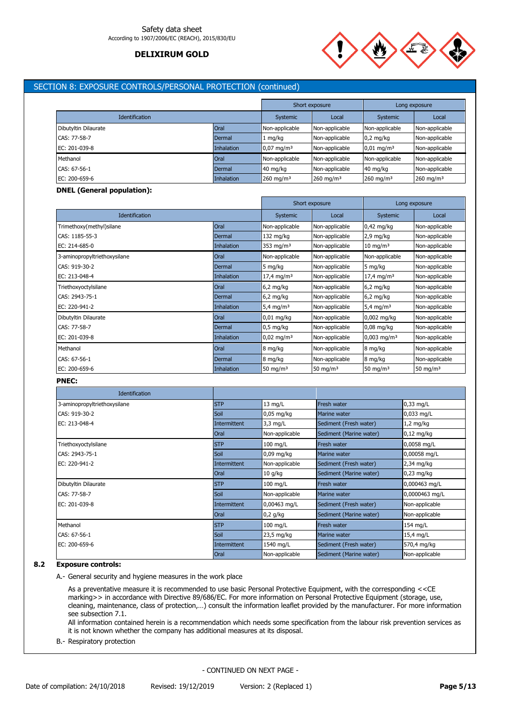

# SECTION 8: EXPOSURE CONTROLS/PERSONAL PROTECTION (continued)

|                       |                   |                        | Short exposure          | Long exposure            |                      |
|-----------------------|-------------------|------------------------|-------------------------|--------------------------|----------------------|
| <b>Identification</b> |                   | Systemic               | Local                   | Systemic                 | Local                |
| Dibutyltin Dilaurate  | Oral              | Non-applicable         | Non-applicable          | Non-applicable           | Non-applicable       |
| CAS: 77-58-7          | Dermal            | . mg/kg                | Non-applicable          | $0.2 \text{ mg/kg}$      | Non-applicable       |
| EC: 201-039-8         | <b>Inhalation</b> | $10,07 \text{ mg/m}^3$ | Non-applicable          | $0.01$ mg/m <sup>3</sup> | Non-applicable       |
| Methanol              | Oral              | Non-applicable         | Non-applicable          | Non-applicable           | Non-applicable       |
| CAS: 67-56-1          | Dermal            | $40 \text{ mg/kg}$     | Non-applicable          | 40 mg/kg                 | Non-applicable       |
| EC: 200-659-6         | <b>Inhalation</b> | 260 mg/m <sup>3</sup>  | $260$ mg/m <sup>3</sup> | 260 mg/m <sup>3</sup>    | $260 \text{ mg/m}^3$ |

#### **DNEL (General population):**

|                              |                   |                          | Short exposure | Long exposure             |                |
|------------------------------|-------------------|--------------------------|----------------|---------------------------|----------------|
| <b>Identification</b>        |                   | <b>Systemic</b>          | Local          | <b>Systemic</b>           | Local          |
| Trimethoxy(methyl)silane     | Oral              | Non-applicable           | Non-applicable | $0,42$ mg/kg              | Non-applicable |
| CAS: 1185-55-3               | Dermal            | 132 mg/kg                | Non-applicable | $2,9$ mg/kg               | Non-applicable |
| EC: 214-685-0                | Inhalation        | 353 mg/m $3$             | Non-applicable | $10 \text{ mg/m}^3$       | Non-applicable |
| 3-aminopropyltriethoxysilane | Oral              | Non-applicable           | Non-applicable | Non-applicable            | Non-applicable |
| CAS: 919-30-2                | Dermal            | 5 mg/kg                  | Non-applicable | 5 mg/kg                   | Non-applicable |
| EC: 213-048-4                | <b>Inhalation</b> | $17,4$ mg/m <sup>3</sup> | Non-applicable | $17,4 \text{ mg/m}^3$     | Non-applicable |
| Triethoxyoctylsilane         | Oral              | $6,2$ mg/kg              | Non-applicable | $6,2$ mg/kg               | Non-applicable |
| CAS: 2943-75-1               | Dermal            | $6,2$ mg/kg              | Non-applicable | $6,2$ mg/kg               | Non-applicable |
| EC: 220-941-2                | <b>Inhalation</b> | 5,4 mg/m <sup>3</sup>    | Non-applicable | 5,4 mg/m <sup>3</sup>     | Non-applicable |
| Dibutyltin Dilaurate         | Oral              | $0.01$ mg/kg             | Non-applicable | 0,002 mg/kg               | Non-applicable |
| CAS: 77-58-7                 | Dermal            | $0.5 \text{ mg/kg}$      | Non-applicable | $0.08$ mg/kg              | Non-applicable |
| EC: 201-039-8                | <b>Inhalation</b> | $0.02 \text{ mg/m}^3$    | Non-applicable | $0,003$ mg/m <sup>3</sup> | Non-applicable |
| Methanol                     | Oral              | $8 \, mg/kg$             | Non-applicable | 8 mg/kg                   | Non-applicable |
| CAS: 67-56-1                 | Dermal            | 8 mg/kg                  | Non-applicable | 8 mg/kg                   | Non-applicable |
| EC: 200-659-6                | Inhalation        | 50 mg/m $3$              | 50 mg/m $3$    | 50 mg/m $3$               | 50 mg/m $3$    |

### **PNEC:**

| <b>Identification</b>        |              |                |                         |                      |
|------------------------------|--------------|----------------|-------------------------|----------------------|
| 3-aminopropyltriethoxysilane | <b>STP</b>   | $13$ mg/L      | <b>Fresh water</b>      | $0,33$ mg/L          |
| CAS: 919-30-2                | Soil         | $0.05$ mg/kg   | Marine water            | $0.033$ mg/L         |
| EC: 213-048-4                | Intermittent | $3,3$ mg/L     | Sediment (Fresh water)  | $1,2$ mg/kg          |
|                              | Oral         | Non-applicable | Sediment (Marine water) | $0,12 \text{ mg/kg}$ |
| Triethoxyoctylsilane         | <b>STP</b>   | $100$ mg/L     | Fresh water             | $0,0058$ mg/L        |
| CAS: 2943-75-1               | Soil         | $0.09$ mg/kg   | Marine water            | 0,00058 mg/L         |
| EC: 220-941-2                | Intermittent | Non-applicable | Sediment (Fresh water)  | $2,34$ mg/kg         |
|                              | <b>Oral</b>  | $10$ g/kg      | Sediment (Marine water) | $0,23$ mg/kg         |
| Dibutyltin Dilaurate         | <b>STP</b>   | $100$ mg/L     | Fresh water             | 0,000463 mg/L        |
| CAS: 77-58-7                 | Soil         | Non-applicable | Marine water            | 0,0000463 mg/L       |
| EC: 201-039-8                | Intermittent | $0,00463$ mg/L | Sediment (Fresh water)  | Non-applicable       |
|                              | Oral         | $ 0,2 $ g/kg   | Sediment (Marine water) | Non-applicable       |
| Methanol                     | <b>STP</b>   | $100$ mg/L     | Fresh water             | 154 mg/L             |
| CAS: 67-56-1                 | Soil         | 23,5 mg/kg     | Marine water            | 15,4 mg/L            |
| EC: 200-659-6                | Intermittent | 1540 mg/L      | Sediment (Fresh water)  | 570,4 mg/kg          |
|                              | Oral         | Non-applicable | Sediment (Marine water) | Non-applicable       |

## **8.2 Exposure controls:**

A.- General security and hygiene measures in the work place

As a preventative measure it is recommended to use basic Personal Protective Equipment, with the corresponding <<CE marking>> in accordance with Directive 89/686/EC. For more information on Personal Protective Equipment (storage, use, cleaning, maintenance, class of protection,…) consult the information leaflet provided by the manufacturer. For more information see subsection 7.1.

All information contained herein is a recommendation which needs some specification from the labour risk prevention services as it is not known whether the company has additional measures at its disposal.

B.- Respiratory protection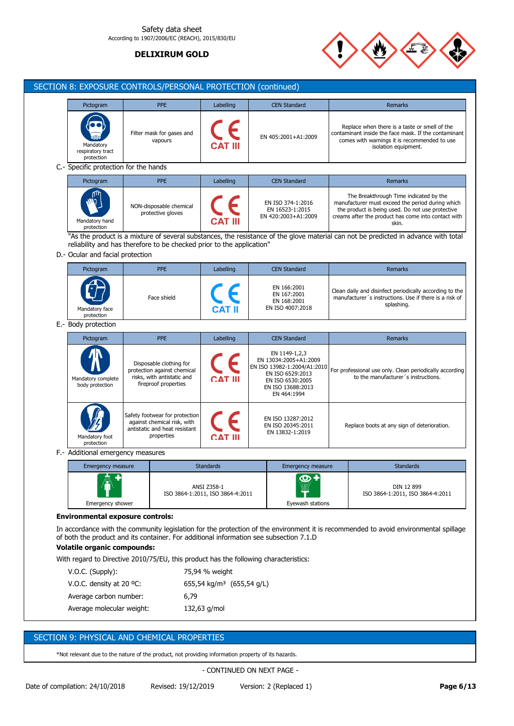

| Pictogram                                             | <b>PPE</b>                                                                                                   | Labelling                                       | <b>CEN Standard</b>                                                                                                              | Remarks                                                                                                                                                                                                        |  |
|-------------------------------------------------------|--------------------------------------------------------------------------------------------------------------|-------------------------------------------------|----------------------------------------------------------------------------------------------------------------------------------|----------------------------------------------------------------------------------------------------------------------------------------------------------------------------------------------------------------|--|
| Mandatory<br>respiratory tract<br>protection          | Filter mask for gases and<br>vapours                                                                         |                                                 | EN 405:2001+A1:2009                                                                                                              | Replace when there is a taste or smell of the<br>contaminant inside the face mask. If the contaminant<br>comes with warnings it is recommended to use<br>isolation equipment.                                  |  |
| C .- Specific protection for the hands                |                                                                                                              |                                                 |                                                                                                                                  |                                                                                                                                                                                                                |  |
| Pictogram                                             | <b>PPE</b>                                                                                                   | Labelling                                       | <b>CEN Standard</b>                                                                                                              | <b>Remarks</b>                                                                                                                                                                                                 |  |
| Mandatory hand<br>protection                          | NON-disposable chemical<br>protective gloves                                                                 |                                                 | EN ISO 374-1:2016<br>EN 16523-1:2015<br>EN 420:2003+A1:2009                                                                      | The Breakthrough Time indicated by the<br>manufacturer must exceed the period during which<br>the product is being used. Do not use protective<br>creams after the product has come into contact with<br>skin. |  |
|                                                       |                                                                                                              |                                                 |                                                                                                                                  | "As the product is a mixture of several substances, the resistance of the glove material can not be predicted in advance with total                                                                            |  |
| D.- Ocular and facial protection                      | reliability and has therefore to be checked prior to the application"                                        |                                                 |                                                                                                                                  |                                                                                                                                                                                                                |  |
|                                                       |                                                                                                              |                                                 |                                                                                                                                  |                                                                                                                                                                                                                |  |
| Pictogram                                             | <b>PPE</b>                                                                                                   | Labelling                                       | <b>CEN Standard</b>                                                                                                              | Remarks                                                                                                                                                                                                        |  |
| Mandatory face<br>protection                          | Face shield                                                                                                  |                                                 | EN 166:2001<br>EN 167:2001<br>EN 168:2001<br>EN ISO 4007:2018                                                                    | Clean daily and disinfect periodically according to the<br>manufacturer's instructions. Use if there is a risk of<br>splashing.                                                                                |  |
| E.- Body protection                                   |                                                                                                              |                                                 |                                                                                                                                  |                                                                                                                                                                                                                |  |
| Pictogram                                             | <b>PPE</b>                                                                                                   | Labelling                                       | <b>CEN Standard</b>                                                                                                              | Remarks                                                                                                                                                                                                        |  |
|                                                       |                                                                                                              |                                                 | EN 1149-1,2,3                                                                                                                    |                                                                                                                                                                                                                |  |
| Mandatory complete<br>body protection                 | Disposable clothing for<br>protection against chemical<br>risks, with antistatic and<br>fireproof properties | <b>CAT III</b>                                  | EN 13034:2005+A1:2009<br>EN ISO 13982-1:2004/A1:2010<br>EN ISO 6529:2013<br>EN ISO 6530:2005<br>EN ISO 13688:2013<br>EN 464:1994 | to the manufacturer's instructions.                                                                                                                                                                            |  |
| Mandatory foot<br>protection                          | Safety footwear for protection<br>against chemical risk, with<br>antistatic and heat resistant<br>properties |                                                 | EN ISO 13287:2012<br>EN ISO 20345:2011<br>EN 13832-1:2019                                                                        | Replace boots at any sign of deterioration.                                                                                                                                                                    |  |
|                                                       |                                                                                                              |                                                 |                                                                                                                                  |                                                                                                                                                                                                                |  |
| <b>Emergency measure</b>                              |                                                                                                              | <b>Standards</b>                                | <b>Emergency measure</b>                                                                                                         | <b>Standards</b>                                                                                                                                                                                               |  |
| F.- Additional emergency measures<br>Emergency shower |                                                                                                              | ANSI Z358-1<br>ISO 3864-1:2011, ISO 3864-4:2011 | ထ<br>Eyewash stations                                                                                                            | For professional use only. Clean periodically according<br>DIN 12 899<br>ISO 3864-1:2011, ISO 3864-4:2011                                                                                                      |  |
| <b>Environmental exposure controls:</b>               |                                                                                                              |                                                 |                                                                                                                                  |                                                                                                                                                                                                                |  |

| $V.O.C.$ (Supply):                 | 75,94 % weight                        |
|------------------------------------|---------------------------------------|
| V.O.C. density at 20 $^{\circ}$ C: | 655,54 kg/m <sup>3</sup> (655,54 g/L) |
| Average carbon number:             | 6.79                                  |
| Average molecular weight:          | 132,63 g/mol                          |

# SECTION 9: PHYSICAL AND CHEMICAL PROPERTIES

\*Not relevant due to the nature of the product, not providing information property of its hazards.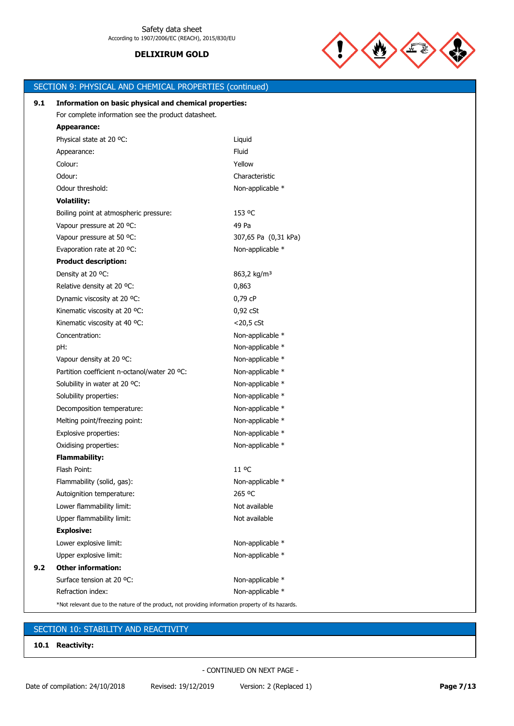

|     | SECTION 9: PHYSICAL AND CHEMICAL PROPERTIES (continued)                                            |                         |  |  |  |
|-----|----------------------------------------------------------------------------------------------------|-------------------------|--|--|--|
| 9.1 | Information on basic physical and chemical properties:                                             |                         |  |  |  |
|     | For complete information see the product datasheet.                                                |                         |  |  |  |
|     | <b>Appearance:</b>                                                                                 |                         |  |  |  |
|     | Physical state at 20 °C:                                                                           | Liquid                  |  |  |  |
|     | Appearance:                                                                                        | Fluid                   |  |  |  |
|     | Colour:                                                                                            | Yellow                  |  |  |  |
|     | Odour:                                                                                             | Characteristic          |  |  |  |
|     | Odour threshold:                                                                                   | Non-applicable *        |  |  |  |
|     | <b>Volatility:</b>                                                                                 |                         |  |  |  |
|     | Boiling point at atmospheric pressure:                                                             | 153 °C                  |  |  |  |
|     | Vapour pressure at 20 °C:                                                                          | 49 Pa                   |  |  |  |
|     | Vapour pressure at 50 °C:                                                                          | 307,65 Pa (0,31 kPa)    |  |  |  |
|     | Evaporation rate at 20 °C:                                                                         | Non-applicable *        |  |  |  |
|     | <b>Product description:</b>                                                                        |                         |  |  |  |
|     | Density at 20 °C:                                                                                  | 863,2 kg/m <sup>3</sup> |  |  |  |
|     | Relative density at 20 °C:                                                                         | 0,863                   |  |  |  |
|     | Dynamic viscosity at 20 °C:                                                                        | 0,79 cP                 |  |  |  |
|     | Kinematic viscosity at 20 °C:                                                                      | $0,92$ cSt              |  |  |  |
|     | Kinematic viscosity at 40 °C:                                                                      | $<$ 20,5 $<$ CSt        |  |  |  |
|     | Concentration:                                                                                     | Non-applicable *        |  |  |  |
|     | pH:                                                                                                | Non-applicable *        |  |  |  |
|     | Vapour density at 20 °C:                                                                           | Non-applicable *        |  |  |  |
|     | Partition coefficient n-octanol/water 20 °C:                                                       | Non-applicable *        |  |  |  |
|     | Solubility in water at 20 °C:                                                                      | Non-applicable *        |  |  |  |
|     | Solubility properties:                                                                             | Non-applicable *        |  |  |  |
|     | Decomposition temperature:                                                                         | Non-applicable *        |  |  |  |
|     | Melting point/freezing point:                                                                      | Non-applicable *        |  |  |  |
|     | Explosive properties:                                                                              | Non-applicable *        |  |  |  |
|     | Oxidising properties:                                                                              | Non-applicable *        |  |  |  |
|     | <b>Flammability:</b>                                                                               |                         |  |  |  |
|     | Flash Point:                                                                                       | 11 °C                   |  |  |  |
|     | Flammability (solid, gas):                                                                         | Non-applicable *        |  |  |  |
|     | Autoignition temperature:                                                                          | 265 °C                  |  |  |  |
|     | Lower flammability limit:                                                                          | Not available           |  |  |  |
|     | Upper flammability limit:                                                                          | Not available           |  |  |  |
|     | <b>Explosive:</b>                                                                                  |                         |  |  |  |
|     | Lower explosive limit:                                                                             | Non-applicable *        |  |  |  |
|     | Upper explosive limit:                                                                             | Non-applicable *        |  |  |  |
| 9.2 | <b>Other information:</b>                                                                          |                         |  |  |  |
|     | Surface tension at 20 °C:                                                                          | Non-applicable *        |  |  |  |
|     | Refraction index:                                                                                  | Non-applicable *        |  |  |  |
|     | *Not relevant due to the nature of the product, not providing information property of its hazards. |                         |  |  |  |

# SECTION 10: STABILITY AND REACTIVITY

**10.1 Reactivity:**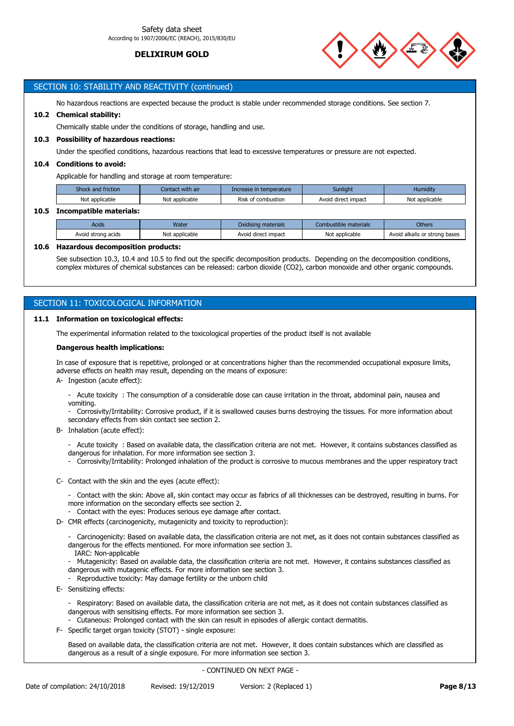

### SECTION 10: STABILITY AND REACTIVITY (continued)

No hazardous reactions are expected because the product is stable under recommended storage conditions. See section 7.

#### **10.2 Chemical stability:**

Chemically stable under the conditions of storage, handling and use.

#### **10.3 Possibility of hazardous reactions:**

Under the specified conditions, hazardous reactions that lead to excessive temperatures or pressure are not expected.

### **10.4 Conditions to avoid:**

Applicable for handling and storage at room temperature:

| Shock and friction | Contact with air | Increase in temperature | Sunlight            | Humiditv       |
|--------------------|------------------|-------------------------|---------------------|----------------|
| Not applicable     | Not applicable   | Risk of combustion      | Avoid direct impact | Not applicable |

### **10.5 Incompatible materials:**

| Acids              | Nater          | Oxidising materials | Combustible materials | Others                        |
|--------------------|----------------|---------------------|-----------------------|-------------------------------|
| Avoid strong acids | Not applicable | Avoid direct impact | Not applicable        | Avoid alkalis or strong bases |

### **10.6 Hazardous decomposition products:**

See subsection 10.3, 10.4 and 10.5 to find out the specific decomposition products. Depending on the decomposition conditions, complex mixtures of chemical substances can be released: carbon dioxide (CO2), carbon monoxide and other organic compounds.

# SECTION 11: TOXICOLOGICAL INFORMATION

### **11.1 Information on toxicological effects:**

The experimental information related to the toxicological properties of the product itself is not available

#### **Dangerous health implications:**

In case of exposure that is repetitive, prolonged or at concentrations higher than the recommended occupational exposure limits, adverse effects on health may result, depending on the means of exposure:

A- Ingestion (acute effect):

- Acute toxicity : The consumption of a considerable dose can cause irritation in the throat, abdominal pain, nausea and vomiting.

- Corrosivity/Irritability: Corrosive product, if it is swallowed causes burns destroying the tissues. For more information about secondary effects from skin contact see section 2.

B- Inhalation (acute effect):

- Acute toxicity : Based on available data, the classification criteria are not met. However, it contains substances classified as dangerous for inhalation. For more information see section 3.

- Corrosivity/Irritability: Prolonged inhalation of the product is corrosive to mucous membranes and the upper respiratory tract
- C- Contact with the skin and the eyes (acute effect):
	- Contact with the skin: Above all, skin contact may occur as fabrics of all thicknesses can be destroyed, resulting in burns. For more information on the secondary effects see section 2.
	- Contact with the eyes: Produces serious eye damage after contact.
- D- CMR effects (carcinogenicity, mutagenicity and toxicity to reproduction):
	- Carcinogenicity: Based on available data, the classification criteria are not met, as it does not contain substances classified as dangerous for the effects mentioned. For more information see section 3.
	- IARC: Non-applicable
	- Mutagenicity: Based on available data, the classification criteria are not met. However, it contains substances classified as dangerous with mutagenic effects. For more information see section 3.
	- Reproductive toxicity: May damage fertility or the unborn child
- E- Sensitizing effects:

- Respiratory: Based on available data, the classification criteria are not met, as it does not contain substances classified as dangerous with sensitising effects. For more information see section 3.

- Cutaneous: Prolonged contact with the skin can result in episodes of allergic contact dermatitis.
- F- Specific target organ toxicity (STOT) single exposure:

Based on available data, the classification criteria are not met. However, it does contain substances which are classified as dangerous as a result of a single exposure. For more information see section 3.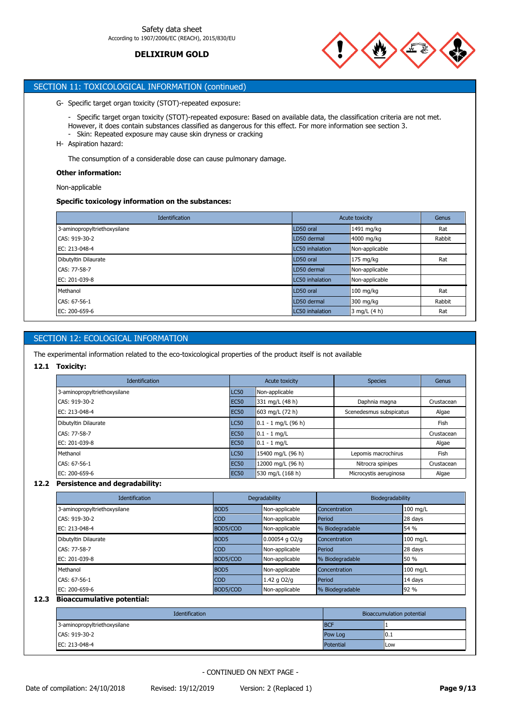

# SECTION 11: TOXICOLOGICAL INFORMATION (continued)

G- Specific target organ toxicity (STOT)-repeated exposure:

- Specific target organ toxicity (STOT)-repeated exposure: Based on available data, the classification criteria are not met. However, it does contain substances classified as dangerous for this effect. For more information see section 3.
- Skin: Repeated exposure may cause skin dryness or cracking
- H- Aspiration hazard:

The consumption of a considerable dose can cause pulmonary damage.

### **Other information:**

Non-applicable

### **Specific toxicology information on the substances:**

| <b>Identification</b>        | Acute toxicity         |                     | Genus  |
|------------------------------|------------------------|---------------------|--------|
| 3-aminopropyltriethoxysilane | LD50 oral              | 1491 mg/kg          | Rat    |
| CAS: 919-30-2                | LD50 dermal            | 4000 mg/kg          | Rabbit |
| EC: 213-048-4                | LC50 inhalation        | Non-applicable      |        |
| Dibutyltin Dilaurate         | LD50 oral              | $175 \text{ mg/kg}$ | Rat    |
| CAS: 77-58-7                 | LD50 dermal            | Non-applicable      |        |
| EC: 201-039-8                | LC50 inhalation        | Non-applicable      |        |
| Methanol                     | LD50 oral              | $100$ mg/kg         | Rat    |
| CAS: 67-56-1                 | LD50 dermal            | 300 mg/kg           | Rabbit |
| EC: 200-659-6                | <b>LC50</b> inhalation | 3 mg/L (4 h)        | Rat    |

# SECTION 12: ECOLOGICAL INFORMATION

The experimental information related to the eco-toxicological properties of the product itself is not available

### **12.1 Toxicity:**

| <b>Identification</b>        |             | Acute toxicity                     | <b>Species</b>          | Genus      |
|------------------------------|-------------|------------------------------------|-------------------------|------------|
| 3-aminopropyltriethoxysilane | <b>LC50</b> | Non-applicable                     |                         |            |
| CAS: 919-30-2                | <b>EC50</b> | 331 mg/L (48 h)                    | Daphnia magna           | Crustacean |
| EC: 213-048-4<br><b>EC50</b> |             | $1603 \text{ mg/L} (72 \text{ h})$ | Scenedesmus subspicatus | Algae      |
| Dibutyltin Dilaurate         | <b>LC50</b> | $0.1 - 1$ mg/L (96 h)              |                         | Fish       |
| CAS: 77-58-7                 | <b>EC50</b> | $ 0.1 - 1$ mg/L                    |                         | Crustacean |
| EC: 201-039-8                | <b>EC50</b> | $ 0.1 - 1$ mg/L                    |                         | Algae      |
| Methanol                     | <b>LC50</b> | 15400 mg/L (96 h)                  | Lepomis macrochirus     | Fish       |
| CAS: 67-56-1                 | <b>EC50</b> | 12000 mg/L (96 h)                  | Nitrocra spinipes       | Crustacean |
| EC: 200-659-6                | <b>EC50</b> | 530 mg/L (168 h)                   | Microcystis aeruginosa  | Algae      |

### **12.2 Persistence and degradability:**

| <b>Identification</b>        |                  | Degradability    | Biodegradability |            |
|------------------------------|------------------|------------------|------------------|------------|
| 3-aminopropyltriethoxysilane | BOD <sub>5</sub> | Non-applicable   | Concentration    | $100$ mg/L |
| CAS: 919-30-2                | <b>COD</b>       | Non-applicable   | Period           | 28 days    |
| EC: 213-048-4                | BOD5/COD         | Non-applicable   | % Biodegradable  | 54 %       |
| Dibutyltin Dilaurate         | BOD <sub>5</sub> | $0.00054$ g O2/g | Concentration    | 100 mg/L   |
| CAS: 77-58-7                 | <b>COD</b>       | Non-applicable   | Period           | 28 days    |
| EC: 201-039-8                | BOD5/COD         | Non-applicable   | % Biodegradable  | 50 %       |
| Methanol                     | BOD <sub>5</sub> | Non-applicable   | Concentration    | 100 mg/L   |
| CAS: 67-56-1                 | <b>COD</b>       | 1.42 g $O2/q$    | Period           | 14 days    |
| EC: 200-659-6                | BOD5/COD         | Non-applicable   | % Biodegradable  | 192 %      |

# **12.3 Bioaccumulative potential:**

| <b>Identification</b>        |            | Bioaccumulation potential |  |  |
|------------------------------|------------|---------------------------|--|--|
| 3-aminopropyltriethoxysilane | <b>BCF</b> |                           |  |  |
| CAS: 919-30-2                | Pow Log    | 10.1                      |  |  |
| EC: 213-048-4                | Potential  | Low                       |  |  |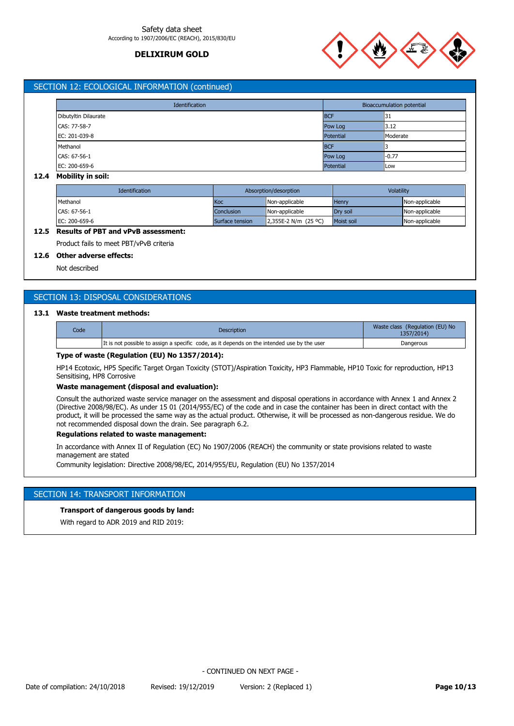

### SECTION 12: ECOLOGICAL INFORMATION (continued)

| Identification       |                  | Bioaccumulation potential |             |  |
|----------------------|------------------|---------------------------|-------------|--|
| Dibutyltin Dilaurate | <b>BCF</b>       |                           | 131         |  |
| CAS: 77-58-7         | Pow Log          |                           | 13.12       |  |
| EC: 201-039-8        | <b>Potential</b> |                           | Moderate    |  |
| Methanol             | <b>BCF</b>       |                           |             |  |
| CAS: 67-56-1         | Pow Log          |                           | $-0.77$     |  |
| EC: 200-659-6        | Potential        |                           | <b>ILow</b> |  |

#### **12.4 Mobility in soil:**

| <b>Identification</b> | Absorption/desorption |                      | Volatility        |                |
|-----------------------|-----------------------|----------------------|-------------------|----------------|
| Methanol              | <b>Koc</b>            | Non-applicable       | Henry             | Non-applicable |
| CAS: 67-56-1          | Conclusion            | Non-applicable       | Dry soil          | Non-applicable |
| EC: 200-659-6         | Surface tension       | 2.355E-2 N/m (25 °C) | <b>Moist soil</b> | Non-applicable |

# **12.5 Results of PBT and vPvB assessment:**

Product fails to meet PBT/vPvB criteria

### **12.6 Other adverse effects:**

Not described

# SECTION 13: DISPOSAL CONSIDERATIONS

### **13.1 Waste treatment methods:**

| Code | Description                                                                                 | Waste class (Regulation (EU) No<br>1357/2014) |
|------|---------------------------------------------------------------------------------------------|-----------------------------------------------|
|      | It is not possible to assign a specific code, as it depends on the intended use by the user | Dangerous                                     |

### **Type of waste (Regulation (EU) No 1357/2014):**

HP14 Ecotoxic, HP5 Specific Target Organ Toxicity (STOT)/Aspiration Toxicity, HP3 Flammable, HP10 Toxic for reproduction, HP13 Sensitising, HP8 Corrosive

#### **Waste management (disposal and evaluation):**

Consult the authorized waste service manager on the assessment and disposal operations in accordance with Annex 1 and Annex 2 (Directive 2008/98/EC). As under 15 01 (2014/955/EC) of the code and in case the container has been in direct contact with the product, it will be processed the same way as the actual product. Otherwise, it will be processed as non-dangerous residue. We do not recommended disposal down the drain. See paragraph 6.2.

### **Regulations related to waste management:**

In accordance with Annex II of Regulation (EC) No 1907/2006 (REACH) the community or state provisions related to waste management are stated

Community legislation: Directive 2008/98/EC, 2014/955/EU, Regulation (EU) No 1357/2014

### SECTION 14: TRANSPORT INFORMATION

#### **Transport of dangerous goods by land:**

With regard to ADR 2019 and RID 2019: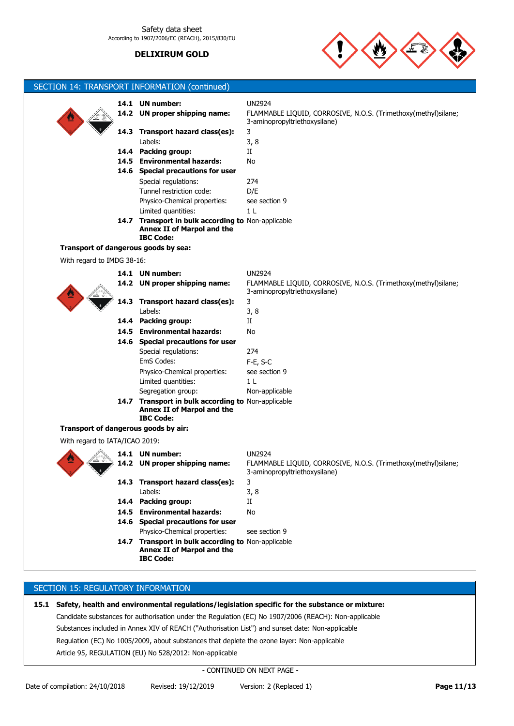

|                                      |      | SECTION 14: TRANSPORT INFORMATION (continued)                                                        |                                                                                                                  |
|--------------------------------------|------|------------------------------------------------------------------------------------------------------|------------------------------------------------------------------------------------------------------------------|
|                                      |      |                                                                                                      |                                                                                                                  |
|                                      |      | 14.1 UN number:<br>14.2 UN proper shipping name:                                                     | <b>UN2924</b><br>FLAMMABLE LIQUID, CORROSIVE, N.O.S. (Trimethoxy(methyl)silane;<br>3-aminopropyltriethoxysilane) |
|                                      | 14.3 | Transport hazard class(es):                                                                          | 3                                                                                                                |
|                                      |      | Labels:                                                                                              | 3, 8                                                                                                             |
|                                      |      | 14.4 Packing group:                                                                                  | П                                                                                                                |
|                                      |      | 14.5 Environmental hazards:                                                                          | No                                                                                                               |
|                                      |      | 14.6 Special precautions for user                                                                    |                                                                                                                  |
|                                      |      | Special regulations:                                                                                 | 274                                                                                                              |
|                                      |      | Tunnel restriction code:                                                                             | D/E                                                                                                              |
|                                      |      | Physico-Chemical properties:                                                                         | see section 9                                                                                                    |
|                                      |      | Limited quantities:                                                                                  | 1 <sub>L</sub>                                                                                                   |
|                                      |      | 14.7 Transport in bulk according to Non-applicable                                                   |                                                                                                                  |
|                                      |      | Annex II of Marpol and the<br><b>IBC Code:</b>                                                       |                                                                                                                  |
| Transport of dangerous goods by sea: |      |                                                                                                      |                                                                                                                  |
| With regard to IMDG 38-16:           |      |                                                                                                      |                                                                                                                  |
|                                      |      | 14.1 UN number:                                                                                      | <b>UN2924</b>                                                                                                    |
|                                      |      | 14.2 UN proper shipping name:                                                                        | FLAMMABLE LIQUID, CORROSIVE, N.O.S. (Trimethoxy(methyl)silane;                                                   |
|                                      |      |                                                                                                      | 3-aminopropyltriethoxysilane)                                                                                    |
|                                      | 14.3 | Transport hazard class(es):                                                                          | 3                                                                                                                |
|                                      |      | Labels:                                                                                              | 3, 8                                                                                                             |
|                                      |      | 14.4 Packing group:                                                                                  | П                                                                                                                |
|                                      |      | 14.5 Environmental hazards:                                                                          | No                                                                                                               |
|                                      |      | 14.6 Special precautions for user                                                                    |                                                                                                                  |
|                                      |      | Special regulations:                                                                                 | 274                                                                                                              |
|                                      |      | EmS Codes:                                                                                           | $F-E$ , S-C                                                                                                      |
|                                      |      | Physico-Chemical properties:                                                                         | see section 9                                                                                                    |
|                                      |      | Limited quantities:                                                                                  | 1 L                                                                                                              |
|                                      |      | Segregation group:                                                                                   | Non-applicable                                                                                                   |
|                                      |      | 14.7 Transport in bulk according to Non-applicable<br>Annex II of Marpol and the<br><b>IBC Code:</b> |                                                                                                                  |
| Transport of dangerous goods by air: |      |                                                                                                      |                                                                                                                  |
| With regard to IATA/ICAO 2019:       |      |                                                                                                      |                                                                                                                  |
|                                      |      | 14.1 UN number:                                                                                      | UN2924                                                                                                           |
|                                      |      | 14.2 UN proper shipping name:                                                                        | FLAMMABLE LIQUID, CORROSIVE, N.O.S. (Trimethoxy(methyl)silane;<br>3-aminopropyltriethoxysilane)                  |
|                                      |      | 14.3 Transport hazard class(es):                                                                     | 3                                                                                                                |
|                                      |      | Labels:                                                                                              | 3, 8                                                                                                             |
|                                      |      | 14.4 Packing group:                                                                                  | П                                                                                                                |
|                                      |      | 14.5 Environmental hazards:                                                                          | No                                                                                                               |
|                                      |      | 14.6 Special precautions for user                                                                    |                                                                                                                  |
|                                      |      | Physico-Chemical properties:                                                                         | see section 9                                                                                                    |
|                                      |      | 14.7 Transport in bulk according to Non-applicable<br>Annex II of Marpol and the<br><b>IBC Code:</b> |                                                                                                                  |

# SECTION 15: REGULATORY INFORMATION

**15.1 Safety, health and environmental regulations/legislation specific for the substance or mixture:** Candidate substances for authorisation under the Regulation (EC) No 1907/2006 (REACH): Non-applicable Substances included in Annex XIV of REACH ("Authorisation List") and sunset date: Non-applicable Regulation (EC) No 1005/2009, about substances that deplete the ozone layer: Non-applicable Article 95, REGULATION (EU) No 528/2012: Non-applicable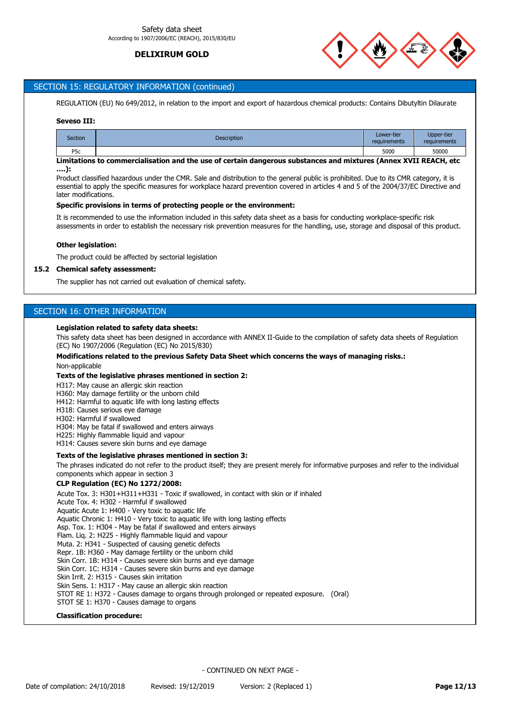

### SECTION 15: REGULATORY INFORMATION (continued)

REGULATION (EU) No 649/2012, in relation to the import and export of hazardous chemical products: Contains Dibutyltin Dilaurate

#### **Seveso III:**

| <b>Section</b> | <b>Description</b> | Lower-tier<br>requirements | <b>Upper-tier</b><br>requirements |
|----------------|--------------------|----------------------------|-----------------------------------|
| P5c            |                    | 5000                       | 50000                             |

#### **Limitations to commercialisation and the use of certain dangerous substances and mixtures (Annex XVII REACH, etc ….):**

Product classified hazardous under the CMR. Sale and distribution to the general public is prohibited. Due to its CMR category, it is essential to apply the specific measures for workplace hazard prevention covered in articles 4 and 5 of the 2004/37/EC Directive and later modifications.

#### **Specific provisions in terms of protecting people or the environment:**

It is recommended to use the information included in this safety data sheet as a basis for conducting workplace-specific risk assessments in order to establish the necessary risk prevention measures for the handling, use, storage and disposal of this product.

#### **Other legislation:**

The product could be affected by sectorial legislation

#### **15.2 Chemical safety assessment:**

The supplier has not carried out evaluation of chemical safety.

# SECTION 16: OTHER INFORMATION

#### **Legislation related to safety data sheets:**

This safety data sheet has been designed in accordance with ANNEX II-Guide to the compilation of safety data sheets of Regulation (EC) No 1907/2006 (Regulation (EC) No 2015/830)

#### **Modifications related to the previous Safety Data Sheet which concerns the ways of managing risks.:**

Non-applicable

#### **Texts of the legislative phrases mentioned in section 2:**

H317: May cause an allergic skin reaction

H360: May damage fertility or the unborn child

- H412: Harmful to aquatic life with long lasting effects
- H318: Causes serious eye damage
- H302: Harmful if swallowed
- H304: May be fatal if swallowed and enters airways
- H225: Highly flammable liquid and vapour
- H314: Causes severe skin burns and eye damage

#### **Texts of the legislative phrases mentioned in section 3:**

The phrases indicated do not refer to the product itself; they are present merely for informative purposes and refer to the individual components which appear in section 3

#### **CLP Regulation (EC) No 1272/2008:**

Acute Tox. 3: H301+H311+H331 - Toxic if swallowed, in contact with skin or if inhaled

Acute Tox. 4: H302 - Harmful if swallowed Aquatic Acute 1: H400 - Very toxic to aquatic life Aquatic Chronic 1: H410 - Very toxic to aquatic life with long lasting effects Asp. Tox. 1: H304 - May be fatal if swallowed and enters airways Flam. Liq. 2: H225 - Highly flammable liquid and vapour Muta. 2: H341 - Suspected of causing genetic defects Repr. 1B: H360 - May damage fertility or the unborn child Skin Corr. 1B: H314 - Causes severe skin burns and eye damage Skin Corr. 1C: H314 - Causes severe skin burns and eye damage Skin Irrit. 2: H315 - Causes skin irritation Skin Sens. 1: H317 - May cause an allergic skin reaction STOT RE 1: H372 - Causes damage to organs through prolonged or repeated exposure. (Oral) STOT SE 1: H370 - Causes damage to organs

#### **Classification procedure:**